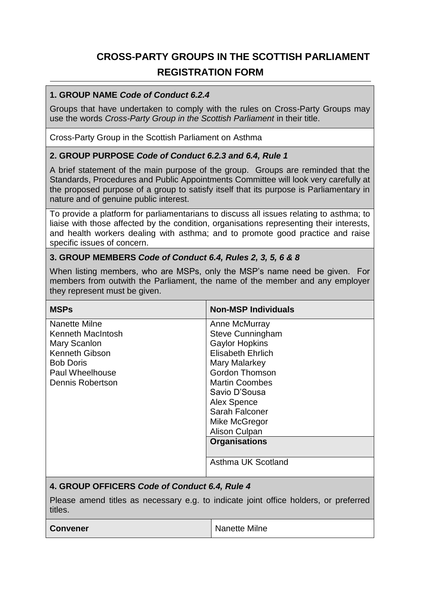# **CROSS-PARTY GROUPS IN THE SCOTTISH PARLIAMENT REGISTRATION FORM**

#### **1. GROUP NAME** *Code of Conduct 6.2.4*

Groups that have undertaken to comply with the rules on Cross-Party Groups may use the words *Cross-Party Group in the Scottish Parliament* in their title.

Cross-Party Group in the Scottish Parliament on Asthma

#### **2. GROUP PURPOSE** *Code of Conduct 6.2.3 and 6.4, Rule 1*

A brief statement of the main purpose of the group. Groups are reminded that the Standards, Procedures and Public Appointments Committee will look very carefully at the proposed purpose of a group to satisfy itself that its purpose is Parliamentary in nature and of genuine public interest.

To provide a platform for parliamentarians to discuss all issues relating to asthma; to liaise with those affected by the condition, organisations representing their interests, and health workers dealing with asthma; and to promote good practice and raise specific issues of concern.

#### **3. GROUP MEMBERS** *Code of Conduct 6.4, Rules 2, 3, 5, 6 & 8*

When listing members, who are MSPs, only the MSP's name need be given. For members from outwith the Parliament, the name of the member and any employer they represent must be given.

| <b>MSPs</b>                                                                                                                                          | <b>Non-MSP Individuals</b>                                                                                                                                                                                                                                                                                |  |
|------------------------------------------------------------------------------------------------------------------------------------------------------|-----------------------------------------------------------------------------------------------------------------------------------------------------------------------------------------------------------------------------------------------------------------------------------------------------------|--|
| Nanette Milne<br>Kenneth MacIntosh<br>Mary Scanlon<br><b>Kenneth Gibson</b><br><b>Bob Doris</b><br><b>Paul Wheelhouse</b><br><b>Dennis Robertson</b> | Anne McMurray<br><b>Steve Cunningham</b><br><b>Gaylor Hopkins</b><br><b>Elisabeth Ehrlich</b><br>Mary Malarkey<br><b>Gordon Thomson</b><br><b>Martin Coombes</b><br>Savio D'Sousa<br><b>Alex Spence</b><br>Sarah Falconer<br>Mike McGregor<br>Alison Culpan<br><b>Organisations</b><br>Asthma UK Scotland |  |
| 4. GROUP OFFICERS Code of Conduct 6.4, Rule 4                                                                                                        |                                                                                                                                                                                                                                                                                                           |  |
| Please amend titles as necessary e.g. to indicate joint office holders, or preferred<br>titles.                                                      |                                                                                                                                                                                                                                                                                                           |  |
| <b>Convener</b>                                                                                                                                      | Nanette Milne                                                                                                                                                                                                                                                                                             |  |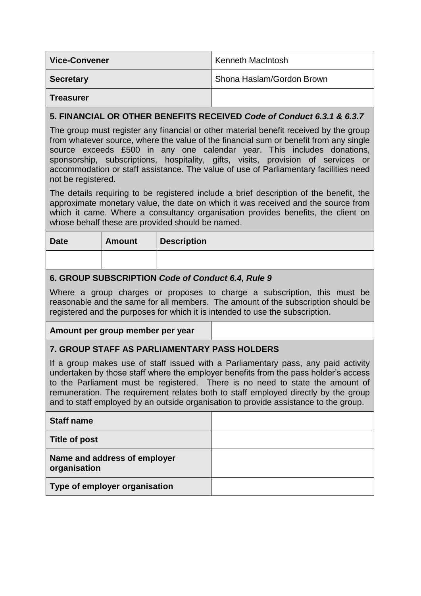| <b>Vice-Convener</b> | <b>Kenneth MacIntosh</b>  |
|----------------------|---------------------------|
| <b>Secretary</b>     | Shona Haslam/Gordon Brown |
| <b>Treasurer</b>     |                           |

### **5. FINANCIAL OR OTHER BENEFITS RECEIVED** *Code of Conduct 6.3.1 & 6.3.7*

The group must register any financial or other material benefit received by the group from whatever source, where the value of the financial sum or benefit from any single source exceeds £500 in any one calendar year. This includes donations, sponsorship, subscriptions, hospitality, gifts, visits, provision of services or accommodation or staff assistance. The value of use of Parliamentary facilities need not be registered.

The details requiring to be registered include a brief description of the benefit, the approximate monetary value, the date on which it was received and the source from which it came. Where a consultancy organisation provides benefits, the client on whose behalf these are provided should be named.

| <b>Date</b> | <b>Amount</b> | <b>Description</b> |
|-------------|---------------|--------------------|
|             |               |                    |

### **6. GROUP SUBSCRIPTION** *Code of Conduct 6.4, Rule 9*

Where a group charges or proposes to charge a subscription, this must be reasonable and the same for all members. The amount of the subscription should be registered and the purposes for which it is intended to use the subscription.

#### **Amount per group member per year**

### **7. GROUP STAFF AS PARLIAMENTARY PASS HOLDERS**

If a group makes use of staff issued with a Parliamentary pass, any paid activity undertaken by those staff where the employer benefits from the pass holder's access to the Parliament must be registered. There is no need to state the amount of remuneration. The requirement relates both to staff employed directly by the group and to staff employed by an outside organisation to provide assistance to the group.

| <b>Staff name</b>                            |  |
|----------------------------------------------|--|
| Title of post                                |  |
| Name and address of employer<br>organisation |  |
| Type of employer organisation                |  |